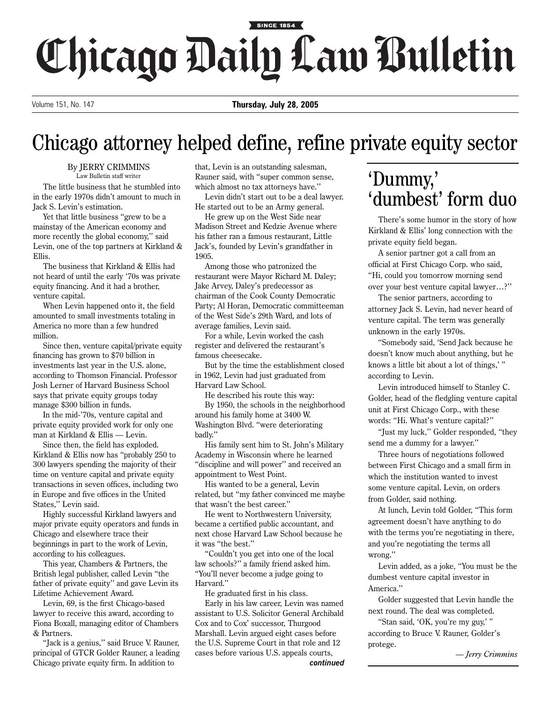## SINCE 1854 Chicago Daily Law Bulletin

Volume 151, No. 147 **Thursday, July 28, 2005**

## Chicago attorney helped define, refine private equity sector

By JERRY CRIMMINS Law Bulletin staff writer

The little business that he stumbled into in the early 1970s didn't amount to much in Jack S. Levin's estimation.

Yet that little business "grew to be a mainstay of the American economy and more recently the global economy,'' said Levin, one of the top partners at Kirkland & Ellis.

The business that Kirkland & Ellis had not heard of until the early '70s was private equity financing. And it had a brother, venture capital.

When Levin happened onto it, the field amounted to small investments totaling in America no more than a few hundred million.

Since then, venture capital/private equity financing has grown to \$70 billion in investments last year in the U.S. alone, according to Thomson Financial. Professor Josh Lerner of Harvard Business School says that private equity groups today manage \$300 billion in funds.

In the mid-'70s, venture capital and private equity provided work for only one man at Kirkland & Ellis — Levin.

Since then, the field has exploded. Kirkland & Ellis now has "probably 250 to 300 lawyers spending the majority of their time on venture capital and private equity transactions in seven offices, including two in Europe and five offices in the United States,'' Levin said.

Highly successful Kirkland lawyers and major private equity operators and funds in Chicago and elsewhere trace their beginnings in part to the work of Levin, according to his colleagues.

This year, Chambers & Partners, the British legal publisher, called Levin "the father of private equity'' and gave Levin its Lifetime Achievement Award.

Levin, 69, is the first Chicago-based lawyer to receive this award, according to Fiona Boxall, managing editor of Chambers & Partners.

"Jack is a genius,'' said Bruce V. Rauner, principal of GTCR Golder Rauner, a leading Chicago private equity firm. In addition to

that, Levin is an outstanding salesman, Rauner said, with "super common sense, which almost no tax attorneys have.''

Levin didn't start out to be a deal lawyer. He started out to be an Army general.

He grew up on the West Side near Madison Street and Kedzie Avenue where his father ran a famous restaurant, Little Jack's, founded by Levin's grandfather in 1905.

Among those who patronized the restaurant were Mayor Richard M. Daley; Jake Arvey, Daley's predecessor as chairman of the Cook County Democratic Party; Al Horan, Democratic committeeman of the West Side's 29th Ward, and lots of average families, Levin said.

For a while, Levin worked the cash register and delivered the restaurant's famous cheesecake.

But by the time the establishment closed in 1962, Levin had just graduated from Harvard Law School.

He described his route this way: By 1950, the schools in the neighborhood around his family home at 3400 W. Washington Blvd. "were deteriorating badly.''

His family sent him to St. John's Military Academy in Wisconsin where he learned "discipline and will power'' and received an appointment to West Point.

His wanted to be a general, Levin related, but "my father convinced me maybe that wasn't the best career.''

He went to Northwestern University, became a certified public accountant, and next chose Harvard Law School because he it was "the best.''

"Couldn't you get into one of the local law schools?'' a family friend asked him. "You'll never become a judge going to Harvard.''

He graduated first in his class. Early in his law career, Levin was named assistant to U.S. Solicitor General Archibald Cox and to Cox' successor, Thurgood Marshall. Levin argued eight cases before the U.S. Supreme Court in that role and 12 cases before various U.S. appeals courts, *continued*

## 'Dummy,' 'dumbest' form duo

There's some humor in the story of how Kirkland & Ellis' long connection with the private equity field began.

A senior partner got a call from an official at First Chicago Corp. who said, "Hi, could you tomorrow morning send over your best venture capital lawyer…?''

The senior partners, according to attorney Jack S. Levin, had never heard of venture capital. The term was generally unknown in the early 1970s.

"Somebody said, 'Send Jack because he doesn't know much about anything, but he knows a little bit about a lot of things,' " according to Levin.

Levin introduced himself to Stanley C. Golder, head of the fledgling venture capital unit at First Chicago Corp., with these words: "Hi. What's venture capital?''

"Just my luck,'' Golder responded, "they send me a dummy for a lawyer.''

Three hours of negotiations followed between First Chicago and a small firm in which the institution wanted to invest some venture capital. Levin, on orders from Golder, said nothing.

At lunch, Levin told Golder, "This form agreement doesn't have anything to do with the terms you're negotiating in there, and you're negotiating the terms all wrong.''

Levin added, as a joke, "You must be the dumbest venture capital investor in America.''

Golder suggested that Levin handle the next round. The deal was completed.

"Stan said, 'OK, you're my guy,' " according to Bruce V. Rauner, Golder's protege.

*— Jerry Crimmins*